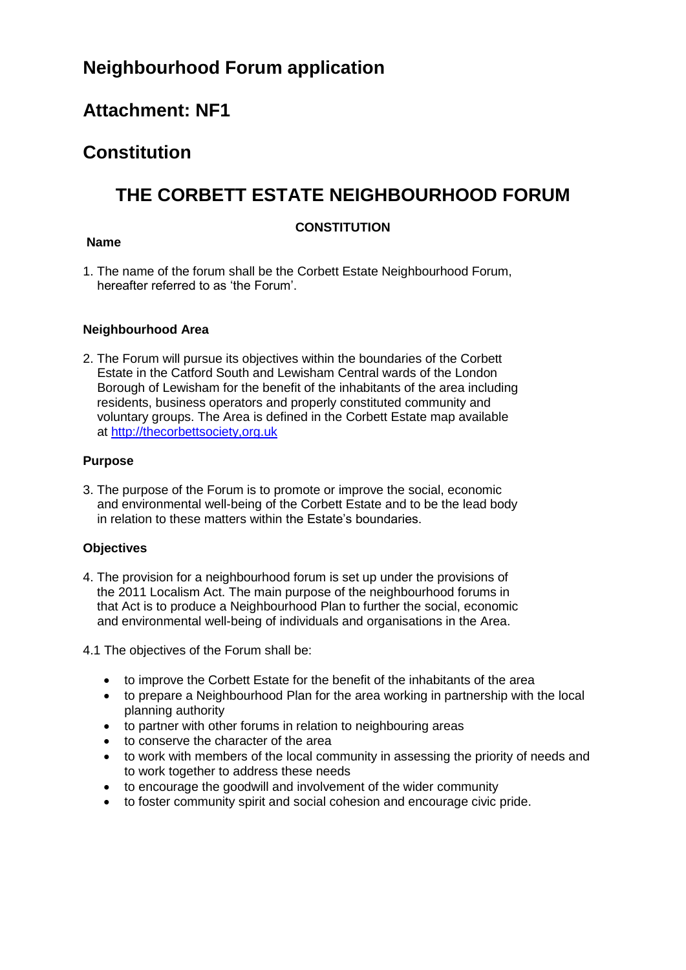# **Neighbourhood Forum application**

# **Attachment: NF1**

# **Constitution**

# **THE CORBETT ESTATE NEIGHBOURHOOD FORUM**

# **CONSTITUTION**

## **Name**

1. The name of the forum shall be the Corbett Estate Neighbourhood Forum, hereafter referred to as 'the Forum'.

### **Neighbourhood Area**

2. The Forum will pursue its objectives within the boundaries of the Corbett Estate in the Catford South and Lewisham Central wards of the London Borough of Lewisham for the benefit of the inhabitants of the area including residents, business operators and properly constituted community and voluntary groups. The Area is defined in the Corbett Estate map available at [http://thecorbettsociety,org.uk](http://thecorbettsociety,org.uk/)

### **Purpose**

3. The purpose of the Forum is to promote or improve the social, economic and environmental well-being of the Corbett Estate and to be the lead body in relation to these matters within the Estate's boundaries.

# **Objectives**

4. The provision for a neighbourhood forum is set up under the provisions of the 2011 Localism Act. The main purpose of the neighbourhood forums in that Act is to produce a Neighbourhood Plan to further the social, economic and environmental well-being of individuals and organisations in the Area.

4.1 The objectives of the Forum shall be:

- to improve the Corbett Estate for the benefit of the inhabitants of the area
- to prepare a Neighbourhood Plan for the area working in partnership with the local planning authority
- to partner with other forums in relation to neighbouring areas
- to conserve the character of the area
- to work with members of the local community in assessing the priority of needs and to work together to address these needs
- to encourage the goodwill and involvement of the wider community
- to foster community spirit and social cohesion and encourage civic pride.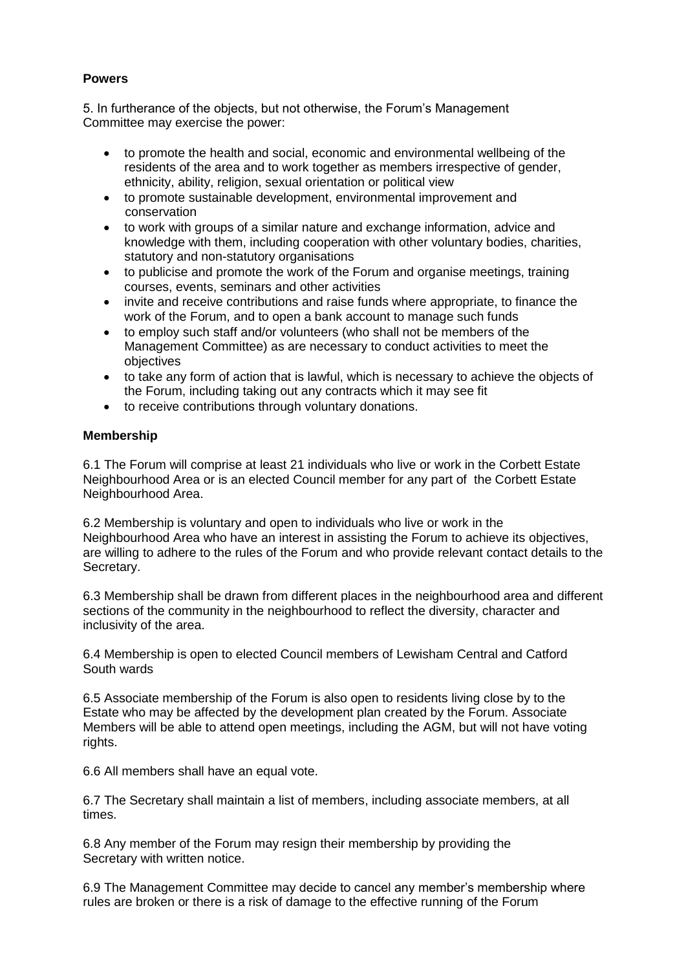# **Powers**

5. In furtherance of the objects, but not otherwise, the Forum's Management Committee may exercise the power:

- to promote the health and social, economic and environmental wellbeing of the residents of the area and to work together as members irrespective of gender, ethnicity, ability, religion, sexual orientation or political view
- to promote sustainable development, environmental improvement and conservation
- to work with groups of a similar nature and exchange information, advice and knowledge with them, including cooperation with other voluntary bodies, charities, statutory and non-statutory organisations
- to publicise and promote the work of the Forum and organise meetings, training courses, events, seminars and other activities
- invite and receive contributions and raise funds where appropriate, to finance the work of the Forum, and to open a bank account to manage such funds
- to employ such staff and/or volunteers (who shall not be members of the Management Committee) as are necessary to conduct activities to meet the objectives
- to take any form of action that is lawful, which is necessary to achieve the objects of the Forum, including taking out any contracts which it may see fit
- to receive contributions through voluntary donations.

### **Membership**

6.1 The Forum will comprise at least 21 individuals who live or work in the Corbett Estate Neighbourhood Area or is an elected Council member for any part of the Corbett Estate Neighbourhood Area.

6.2 Membership is voluntary and open to individuals who live or work in the Neighbourhood Area who have an interest in assisting the Forum to achieve its objectives, are willing to adhere to the rules of the Forum and who provide relevant contact details to the Secretary.

6.3 Membership shall be drawn from different places in the neighbourhood area and different sections of the community in the neighbourhood to reflect the diversity, character and inclusivity of the area.

6.4 Membership is open to elected Council members of Lewisham Central and Catford South wards

6.5 Associate membership of the Forum is also open to residents living close by to the Estate who may be affected by the development plan created by the Forum. Associate Members will be able to attend open meetings, including the AGM, but will not have voting rights.

6.6 All members shall have an equal vote.

6.7 The Secretary shall maintain a list of members, including associate members, at all times.

6.8 Any member of the Forum may resign their membership by providing the Secretary with written notice.

6.9 The Management Committee may decide to cancel any member's membership where rules are broken or there is a risk of damage to the effective running of the Forum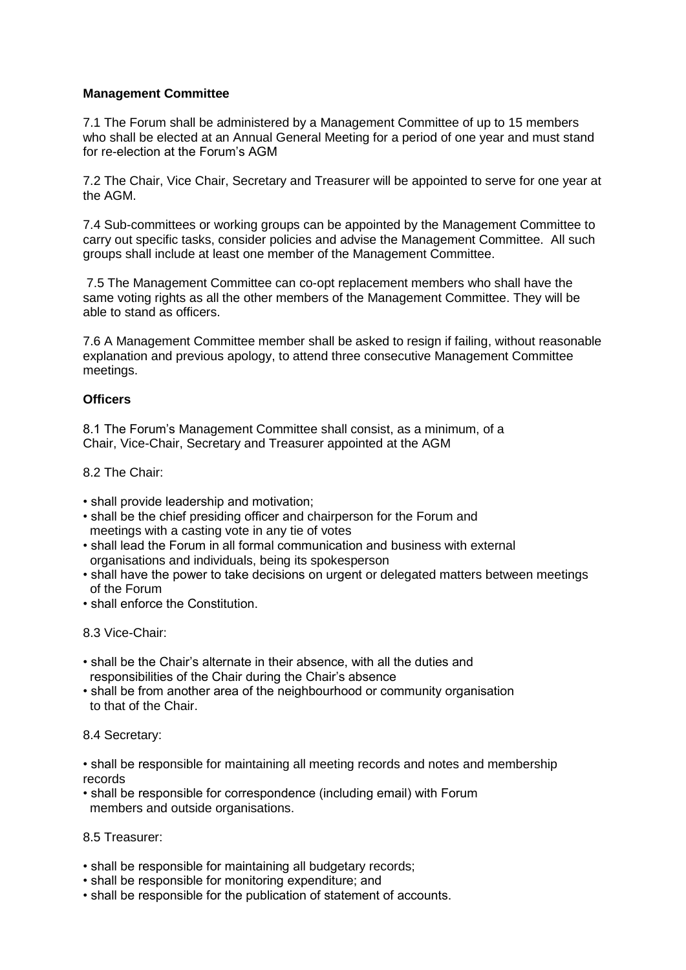### **Management Committee**

7.1 The Forum shall be administered by a Management Committee of up to 15 members who shall be elected at an Annual General Meeting for a period of one year and must stand for re-election at the Forum's AGM

7.2 The Chair, Vice Chair, Secretary and Treasurer will be appointed to serve for one year at the AGM.

7.4 Sub-committees or working groups can be appointed by the Management Committee to carry out specific tasks, consider policies and advise the Management Committee. All such groups shall include at least one member of the Management Committee.

7.5 The Management Committee can co-opt replacement members who shall have the same voting rights as all the other members of the Management Committee. They will be able to stand as officers.

7.6 A Management Committee member shall be asked to resign if failing, without reasonable explanation and previous apology, to attend three consecutive Management Committee meetings.

#### **Officers**

8.1 The Forum's Management Committee shall consist, as a minimum, of a Chair, Vice-Chair, Secretary and Treasurer appointed at the AGM

8.2 The Chair:

- shall provide leadership and motivation;
- shall be the chief presiding officer and chairperson for the Forum and meetings with a casting vote in any tie of votes
- shall lead the Forum in all formal communication and business with external organisations and individuals, being its spokesperson
- shall have the power to take decisions on urgent or delegated matters between meetings of the Forum
- shall enforce the Constitution.

8.3 Vice-Chair:

- shall be the Chair's alternate in their absence, with all the duties and responsibilities of the Chair during the Chair's absence
- shall be from another area of the neighbourhood or community organisation to that of the Chair.

8.4 Secretary:

• shall be responsible for maintaining all meeting records and notes and membership records

• shall be responsible for correspondence (including email) with Forum members and outside organisations.

8.5 Treasurer:

- shall be responsible for maintaining all budgetary records;
- shall be responsible for monitoring expenditure; and
- shall be responsible for the publication of statement of accounts.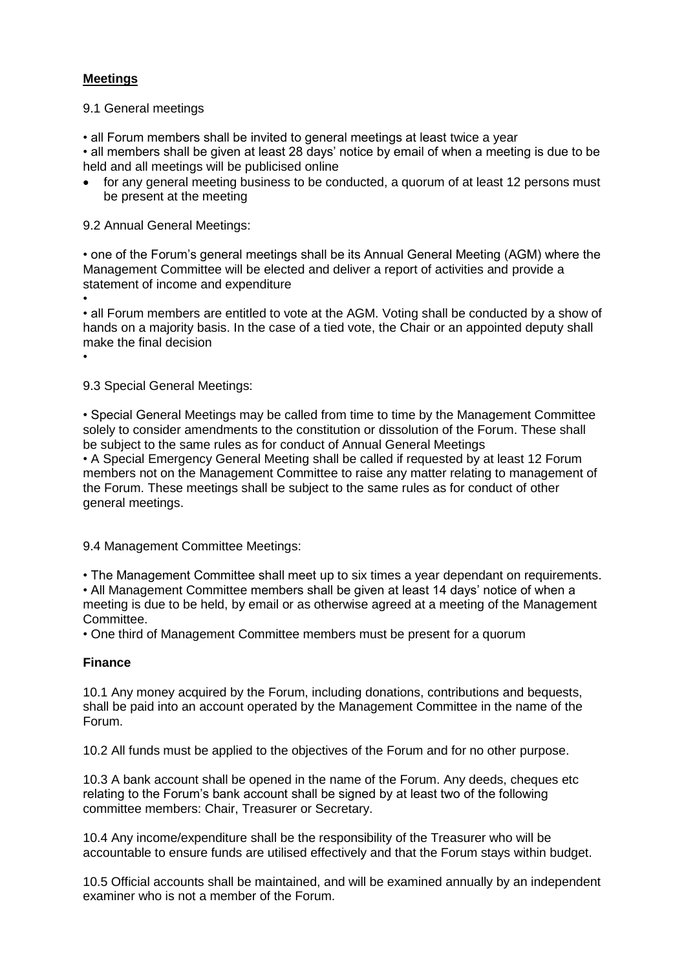# **Meetings**

•

9.1 General meetings

• all Forum members shall be invited to general meetings at least twice a year

• all members shall be given at least 28 days' notice by email of when a meeting is due to be held and all meetings will be publicised online

• for any general meeting business to be conducted, a quorum of at least 12 persons must be present at the meeting

9.2 Annual General Meetings:

• one of the Forum's general meetings shall be its Annual General Meeting (AGM) where the Management Committee will be elected and deliver a report of activities and provide a statement of income and expenditure

• • all Forum members are entitled to vote at the AGM. Voting shall be conducted by a show of hands on a majority basis. In the case of a tied vote, the Chair or an appointed deputy shall make the final decision

9.3 Special General Meetings:

• Special General Meetings may be called from time to time by the Management Committee solely to consider amendments to the constitution or dissolution of the Forum. These shall be subject to the same rules as for conduct of Annual General Meetings • A Special Emergency General Meeting shall be called if requested by at least 12 Forum members not on the Management Committee to raise any matter relating to management of the Forum. These meetings shall be subject to the same rules as for conduct of other general meetings.

9.4 Management Committee Meetings:

• The Management Committee shall meet up to six times a year dependant on requirements. • All Management Committee members shall be given at least 14 days' notice of when a meeting is due to be held, by email or as otherwise agreed at a meeting of the Management Committee.

• One third of Management Committee members must be present for a quorum

# **Finance**

10.1 Any money acquired by the Forum, including donations, contributions and bequests, shall be paid into an account operated by the Management Committee in the name of the Forum.

10.2 All funds must be applied to the objectives of the Forum and for no other purpose.

10.3 A bank account shall be opened in the name of the Forum. Any deeds, cheques etc relating to the Forum's bank account shall be signed by at least two of the following committee members: Chair, Treasurer or Secretary.

10.4 Any income/expenditure shall be the responsibility of the Treasurer who will be accountable to ensure funds are utilised effectively and that the Forum stays within budget.

10.5 Official accounts shall be maintained, and will be examined annually by an independent examiner who is not a member of the Forum.